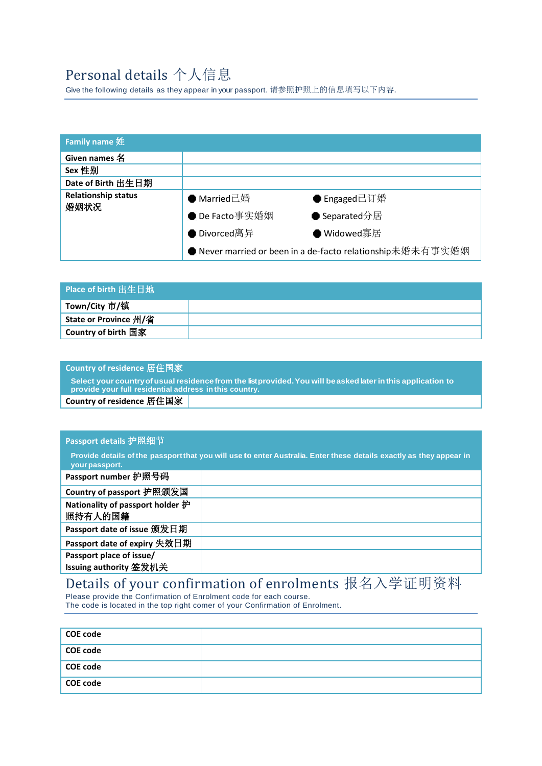### Personal details 个人信息

Give the following details as they appear in your passport. 请参照护照上的信息填写以下内容.

| <b>Family name 姓</b>               |                                                            |               |
|------------------------------------|------------------------------------------------------------|---------------|
| Given names 名                      |                                                            |               |
| Sex 性别                             |                                                            |               |
| Date of Birth 出生日期                 |                                                            |               |
| <b>Relationship status</b><br>婚姻状况 | ● Married已婚                                                | ● Engaged已订婚  |
|                                    | ● De Facto事实婚姻                                             | ● Separated分居 |
|                                    | $\bullet$ Divorced离异                                       | ● Widowed寡居   |
|                                    | ● Never married or been in a de-facto relationship未婚未有事实婚姻 |               |

| Place of birth 出生日地        |  |
|----------------------------|--|
| Town/City 市/镇              |  |
| State or Province 州/省      |  |
| <b>Country of birth 国家</b> |  |

#### **Country of residence** 居住国家

**Select your countryofusualresidence from the listprovided.You will beasked laterinthis application to provide your full residential address in this country.**

**Country of residence** 居住国家

#### **Passport details** 护照细节

Provide details of the passport that you will use to enter Australia. Enter these details exactly as they appear in **yourpassport.**

| Passport number 护照号码                                    |  |
|---------------------------------------------------------|--|
| Country of passport 护照颁发国                               |  |
| Nationality of passport holder $\mathcal{F}$<br>照持有人的国籍 |  |
| Passport date of issue 颁发日期                             |  |
| Passport date of expiry 失效日期                            |  |
| Passport place of issue/                                |  |
| Issuing authority 签发机关                                  |  |

## Details of your confirmation of enrolments 报名入学证明资料

Please provide the Confirmation of Enrolment code for each course. The code is located in the top right comer of your Confirmation of Enrolment.

| <b>COE code</b> |  |
|-----------------|--|
| <b>COE code</b> |  |
| <b>COE code</b> |  |
| <b>COE code</b> |  |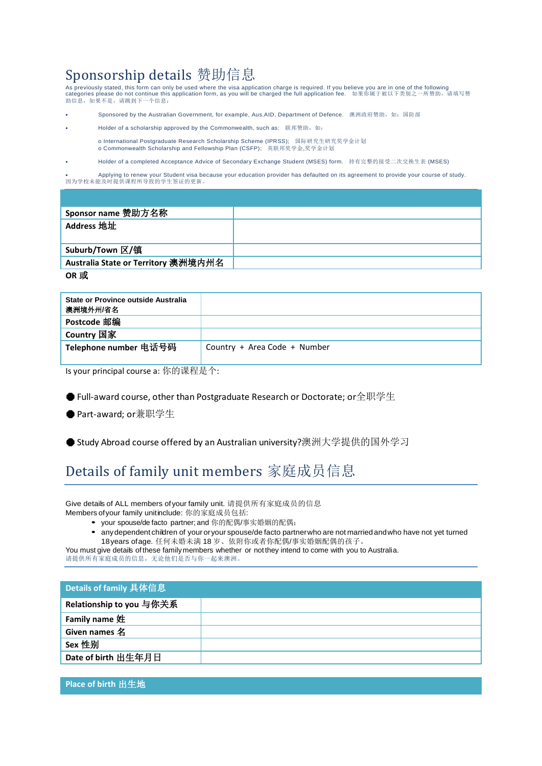## $S_{\text{ponsorship}~\text{details}}$   $\frac{44}{100}$   $\frac{1}{100}$   $\frac{1}{100}$   $\frac{1}{100}$   $\frac{1}{100}$   $\frac{1}{100}$   $\frac{1}{100}$   $\frac{1}{100}$  are in one of the following

categories please do not continue this application form, as you will be charged the full application fee. 如果你属于被以下类别之一所赞助,请填写赞 助信息,如果不是,请跳到下一个信息:

- Sponsored by the Australian Government, for example, Aus.AID, Department of Defence. 澳洲政府赞助, 如:国防部
- Holder of a scholarship approved by the Commonwealth, such as: 联邦赞助, 如:

o International Postgraduate Research Scholarship Scheme (IPRSS); 国际研究生研究奖学金计划 o Commonwealth Scholarship and Fellowship Plan (CSFP); 英联邦奖学金,奖学金计划

• Holder of a completed Acceptance Advice of Secondary Exchange Student (MSES) form. 持有完整的接受二次交换生表 (MSES)

• Applying to renew your Student visa because your education provider has defaulted on its agreement to provide your course of study. 因为学校未能及时提供课程所导致的学生签证的更新。

| Sponsor name 赞助方名称                  |  |
|-------------------------------------|--|
| Address 地址                          |  |
|                                     |  |
| Suburb/Town 区/镇                     |  |
| Australia State or Territory 澳洲境内州名 |  |
| OR 或                                |  |

| State or Province outside Australia<br>澳洲境外州/省名 |                              |
|-------------------------------------------------|------------------------------|
| Postcode 邮编                                     |                              |
| Country 国家                                      |                              |
| Telephone number 电话号码                           | Country + Area Code + Number |

Is your principal course a: 你的课程是个:

● Full-award course, other than Postgraduate Research or Doctorate; or全职学生

● Part-award; or兼职学生

● Study Abroad course offered by an Australian university?澳洲大学提供的国外学习

#### Details of family unit members 家庭成员信息

Give details of ALL members ofyour family unit. 请提供所有家庭成员的信息

Members ofyour family unitinclude: 你的家庭成员包括:

- your spouse/de facto partner; and 你的配偶/事实婚姻的配偶;
	- anydependent children of your oryour spouse/de facto partnerwho are not marriedandwho have not yet turned 18years ofage. 任何未婚未满 18 岁、依附你或者你配偶/事实婚姻配偶的孩子。

You must give details of these family members whether or not they intend to come with you to Australia.

请提供所有家庭成员的信息,无论他们是否与你一起来澳洲。

| Details of family 具体信息   |  |
|--------------------------|--|
| Relationship to you 与你关系 |  |
| Family name 姓            |  |
| Given names 名            |  |
| Sex 性别                   |  |
| Date of birth 出生年月日      |  |

**Place of birth** 出生地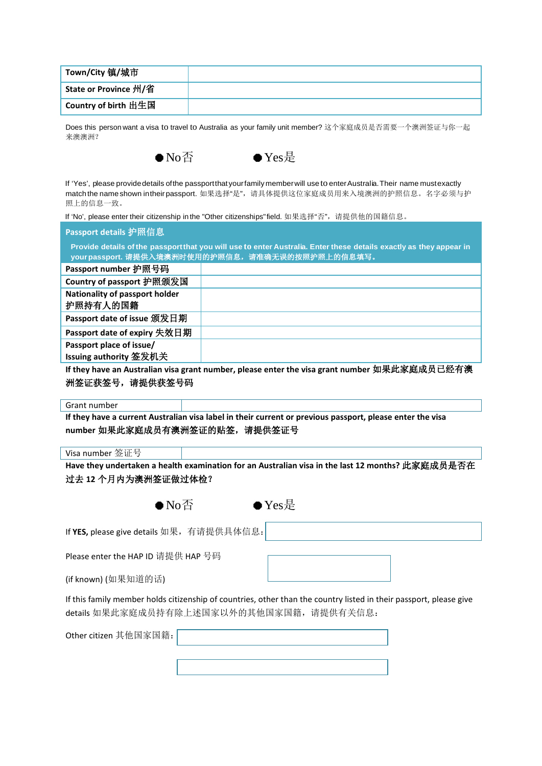| 'State or Province 州/省 |  |
|------------------------|--|
| 'Country of birth 出生国  |  |

Does this person want a visa to travel to Australia as your family unit member? 这个家庭成员是否需要一个澳洲签证与你一起 来澳澳洲?



If 'Yes', please providedetails ofthe passportthat yourfamily memberwill use to enterAustralia.Their name mustexactly match the name shown intheirpassport. 如果选择"是",请具体提供这位家庭成员用来入境澳洲的护照信息。名字必须与护 照上的信息一致。

If 'No', please enter their citizenship in the "Other citizenships" field. 如果选择"否", 请提供他的国籍信息。

| Passport details 护照信息                                                                                                   |  |
|-------------------------------------------------------------------------------------------------------------------------|--|
| , Provide details of the passport that you will use to enter Australia. Enter these details exactly as they appear in ' |  |
| │yourpassport. 请提供入境澳洲时使用的护照信息,请准确无误的按照护照上的信息填写。                                                                        |  |

| Passport number 护照号码                       |  |
|--------------------------------------------|--|
| Country of passport 护照颁发国                  |  |
| Nationality of passport holder<br>护照持有人的国籍 |  |
| Passport date of issue 颁发日期                |  |
| Passport date of expiry 失效日期               |  |
| Passport place of issue/                   |  |
| Issuing authority 签发机关                     |  |

**If they have an Australian visa grant number, please enter the visa grant number** 如果此家庭成员已经有澳 洲签证获签号,请提供获签号码

Grant number

**If they have a current Australian visa label in their current or previous passport, please enter the visa number** 如果此家庭成员有澳洲签证的贴签,请提供签证号

Visa number 签证号

**Have they undertaken a health examination for an Australian visa in the last 12 months?** 此家庭成员是否在 过去 **12** 个月内为澳洲签证做过体检?

 $\bullet$  Yes是

If **YES,** please give details 如果,有请提供具体信息:

Please enter the HAP ID 请提供 HAP 号码

(if known) (如果知道的话)

If this family member holds citizenship of countries, other than the country listed in their passport, please give details 如果此家庭成员持有除上述国家以外的其他国家国籍,请提供有关信息:

Other citizen 其他国家国籍:

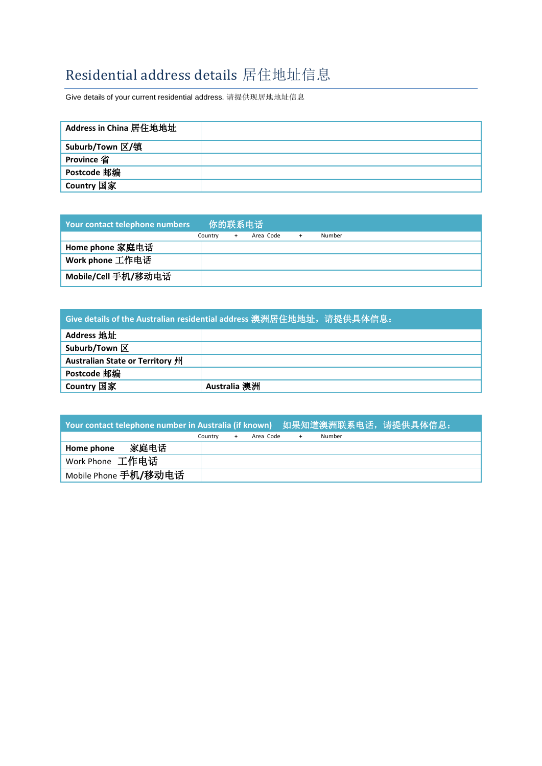### Residential address details 居住地址信息

Give details of your current residential address. 请提供现居地地址信息

| Address in China 居住地地址 |  |
|------------------------|--|
| Suburb/Town 区/镇        |  |
| <b>Province 省</b>      |  |
| Postcode 邮编            |  |
| Country 国家             |  |

| <b>Your contact telephone numbers</b> | 你的联系电话  |  |           |           |        |  |
|---------------------------------------|---------|--|-----------|-----------|--------|--|
|                                       | Country |  | Area Code | $\ddot{}$ | Number |  |
| Home phone 家庭电话                       |         |  |           |           |        |  |
| Work phone 工作电话                       |         |  |           |           |        |  |
| Mobile/Cell 手机/移动电话                   |         |  |           |           |        |  |

| Give details of the Australian residential address 澳洲居住地地址,请提供具体信息: |              |  |  |  |
|---------------------------------------------------------------------|--------------|--|--|--|
| Address 地址                                                          |              |  |  |  |
| Suburb/Town $\overline{\mathbb{X}}$                                 |              |  |  |  |
| Australian State or Territory 州                                     |              |  |  |  |
| Postcode 邮编                                                         |              |  |  |  |
| Country 国家                                                          | Australia 澳洲 |  |  |  |

| Your contact telephone number in Australia (if known) 如果知道澳洲联系电话,请提供具体信息: |         |           |     |        |  |
|---------------------------------------------------------------------------|---------|-----------|-----|--------|--|
|                                                                           | Country | Area Code | $+$ | Number |  |
| 家庭电话<br>Home phone                                                        |         |           |     |        |  |
| 'Work Phone 工作电话                                                          |         |           |     |        |  |
| Mobile Phone 手机/移动电话                                                      |         |           |     |        |  |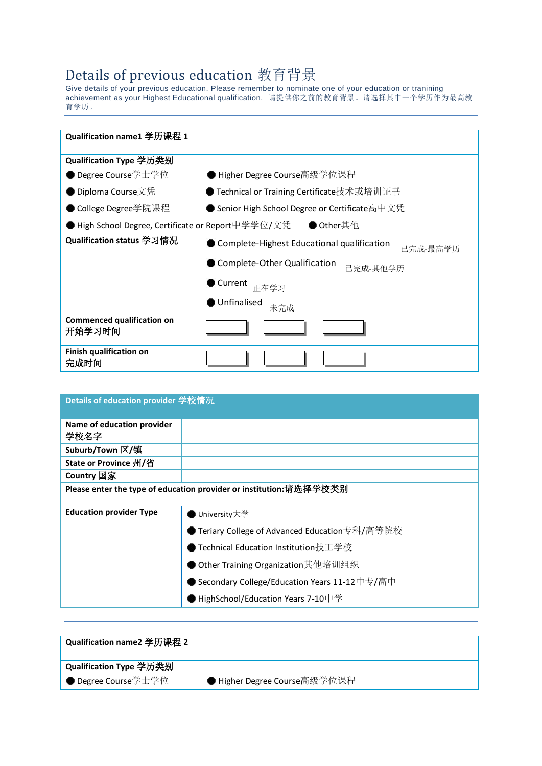# Details of previous education 教育背景 Give details of your previous education. Please remember to nominate one of your education or tranining

achievement as your Highest Educational qualification. 请提供你之前的教育背景。请选择其中一个学历作为最高教 育学历。

| Qualification name1 学历课程 1                        |                                                        |
|---------------------------------------------------|--------------------------------------------------------|
| Qualification Type 学历类别                           |                                                        |
| Degree Course学士学位                                 | ● Higher Degree Course高级学位课程                           |
| ● Diploma Course文凭                                | ● Technical or Training Certificate技术或培训证书             |
| ● College Degree学院课程                              | ● Senior High School Degree or Certificate高中文凭         |
| ▶High School Degree, Certificate or Report中学学位/文凭 | ● Other其他                                              |
| Qualification status 学习情况                         | Complete-Highest Educational qualification<br>已完成-最高学历 |
|                                                   | Complete-Other Qualification<br>已完成-其他学历               |
|                                                   | Current<br>正在学习                                        |
|                                                   | Unfinalised<br>未完成                                     |
| <b>Commenced qualification on</b><br>开始学习时间       |                                                        |
| <b>Finish qualification on</b><br>完成时间            |                                                        |

| Details of education provider 学校情况 |                                                                    |
|------------------------------------|--------------------------------------------------------------------|
| Name of education provider<br>学校名字 |                                                                    |
| Suburb/Town 区/镇                    |                                                                    |
| State or Province 州/省              |                                                                    |
| Country 国家                         |                                                                    |
|                                    | Please enter the type of education provider or institution:请选择学校类别 |
| <b>Education provider Type</b>     | University大学                                                       |
|                                    | ● Teriary College of Advanced Education专科/高等院校                     |
|                                    | ▶ Technical Education Institution技工学校                              |
|                                    | Other Training Organization其他培训组织                                  |
|                                    | ● Secondary College/Education Years 11-12中专/高中                     |
|                                    | HighSchool/Education Years 7-10中学                                  |

| Qualification name2 学历课程 2 |                              |
|----------------------------|------------------------------|
| ່ Qualification Type 学历类别  |                              |
| ● Degree Course学士学位        | ● Higher Degree Course高级学位课程 |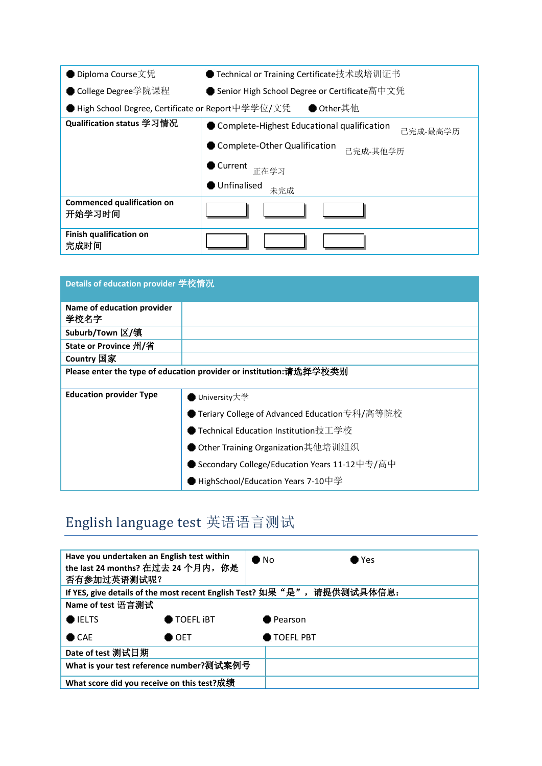| ● Diploma Course文凭                                 | ● Technical or Training Certificate技术或培训证书             |  |  |  |  |
|----------------------------------------------------|--------------------------------------------------------|--|--|--|--|
| ● College Degree学院课程                               | ● Senior High School Degree or Certificate高中文凭         |  |  |  |  |
| ● High School Degree, Certificate or Report中学学位/文凭 | ● Other其他                                              |  |  |  |  |
| Qualification status 学习情况                          | Complete-Highest Educational qualification<br>已完成-最高学历 |  |  |  |  |
|                                                    | Complete-Other Qualification<br>已完成-其他学历               |  |  |  |  |
|                                                    | Current<br>正在学习                                        |  |  |  |  |
|                                                    | Unfinalised<br>未完成                                     |  |  |  |  |
| <b>Commenced qualification on</b><br>开始学习时间        |                                                        |  |  |  |  |
| Finish qualification on<br>完成时间                    |                                                        |  |  |  |  |

| Details of education provider 学校情况 |                                                                    |
|------------------------------------|--------------------------------------------------------------------|
| Name of education provider<br>学校名字 |                                                                    |
| Suburb/Town 区/镇                    |                                                                    |
| State or Province 州/省              |                                                                    |
| Country 国家                         |                                                                    |
|                                    | Please enter the type of education provider or institution:请选择学校类别 |
| <b>Education provider Type</b>     | University大学                                                       |
|                                    | Teriary College of Advanced Education专科/高等院校                       |
|                                    | ● Technical Education Institution技工学校                              |
|                                    | Other Training Organization其他培训组织                                  |
|                                    | ▶ Secondary College/Education Years 11-12中专/高中                     |
|                                    | HighSchool/Education Years 7-10中学                                  |

## English language test 英语语言测试

| Have you undertaken an English test within<br>the last 24 months? 在过去 24 个月内, 你是<br>否有参加过英语测试呢? |                  | $\bullet$ No     | $\bullet$ Yes |
|-------------------------------------------------------------------------------------------------|------------------|------------------|---------------|
| If YES, give details of the most recent English Test? 如果"是",请提供测试具体信息:                          |                  |                  |               |
| Name of test 语言测试                                                                               |                  |                  |               |
| <b>O</b> IELTS                                                                                  | <b>TOEFL IBT</b> | <b>D</b> Pearson |               |
| $\bullet$ CAE                                                                                   | $\bullet$ oet    | <b>TOEFL PBT</b> |               |
| Date of test 测试日期                                                                               |                  |                  |               |
| What is your test reference number?测试案例号                                                        |                  |                  |               |
| What score did you receive on this test?成绩                                                      |                  |                  |               |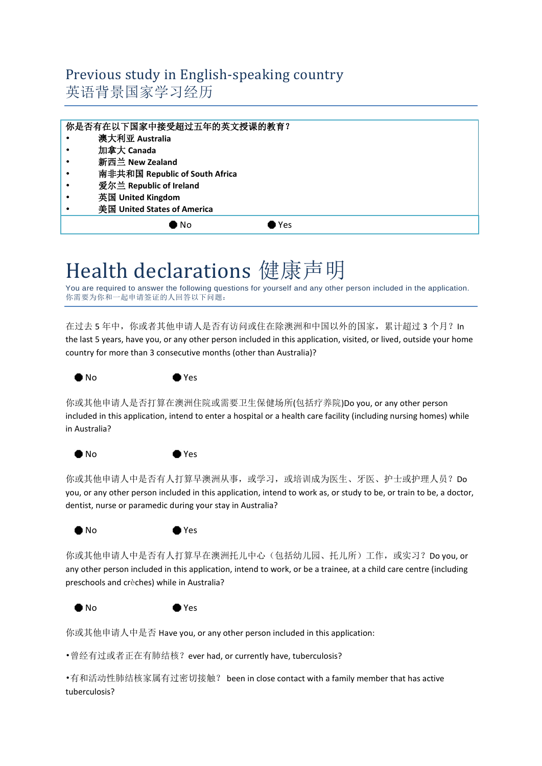#### Previous study in English-speaking country 英语背景国家学习经历

|   | 你是否有在以下国家中接受超过五年的英文授课的教育?      |
|---|--------------------------------|
|   | 澳大利亚 Australia                 |
|   | 加拿大 Canada                     |
| ٠ | 新西兰 New Zealand                |
|   | 南非共和国 Republic of South Africa |
|   | 爱尔兰 Republic of Ireland        |
|   | 英国 United Kingdom              |
|   | 美国 United States of America    |
|   | D No<br>▶Yes                   |
|   |                                |

# Health declarations 健康声明

You are required to answer the following questions for yourself and any other person included in the application. 你需要为你和一起申请签证的人回答以下问题:

在过去 5 年中, 你或者其他申请人是否有访问或住在除澳洲和中国以外的国家, 累计超过 3 个月? In the last 5 years, have you, or any other person included in this application, visited, or lived, outside your home country for more than 3 consecutive months (other than Australia)?



你或其他申请人是否打算在澳洲住院或需要卫生保健场所(包括疗养院)Do you, or any other person included in this application, intend to enter a hospital or a health care facility (including nursing homes) while in Australia?



你或其他申请人中是否有人打算早澳洲从事, 或学习, 或培训成为医生、牙医、护士或护理人员? Do you, or any other person included in this application, intend to work as, or study to be, or train to be, a doctor, dentist, nurse or paramedic during your stay in Australia?



你或其他申请人中是否有人打算早在澳洲托儿中心(包括幼儿园、托儿所)工作, 或实习? Do you, or any other person included in this application, intend to work, or be a trainee, at a child care centre (including preschools and crèches) while in Australia?



你或其他申请人中是否 Have you, or any other person included in this application:

•曾经有过或者正在有肺结核?ever had, or currently have, tuberculosis?

•有和活动性肺结核家属有过密切接触? been in close contact with a family member that has active tuberculosis?